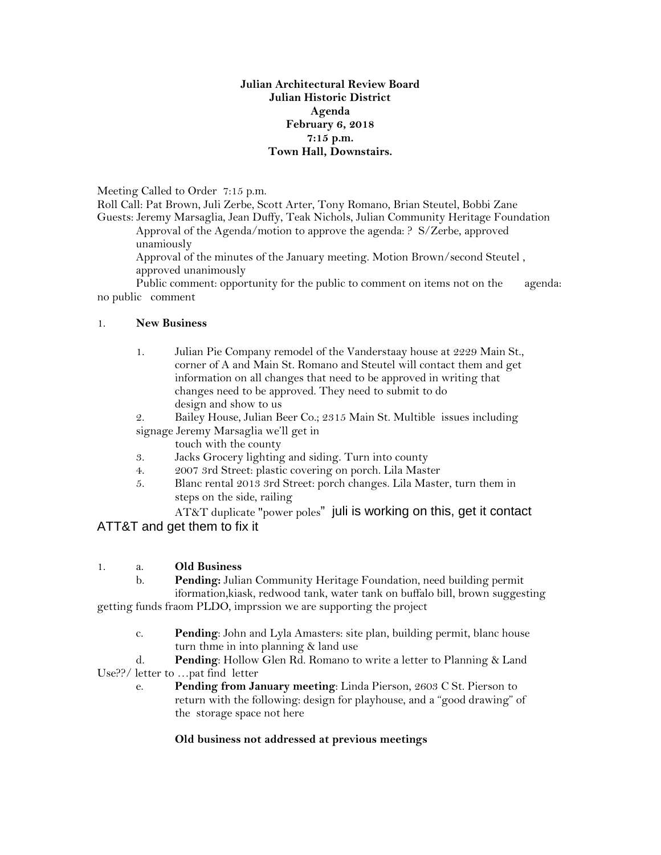## **Julian Architectural Review Board Julian Historic District Agenda February 6, 2018 7:15 p.m. Town Hall, Downstairs.**

Meeting Called to Order 7:15 p.m.

Roll Call: Pat Brown, Juli Zerbe, Scott Arter, Tony Romano, Brian Steutel, Bobbi Zane Guests: Jeremy Marsaglia, Jean Duffy, Teak Nichols, Julian Community Heritage Foundation

Approval of the Agenda/motion to approve the agenda: ? S/Zerbe, approved unamiously

Approval of the minutes of the January meeting. Motion Brown/second Steutel , approved unanimously

Public comment: opportunity for the public to comment on items not on the agenda: no public comment

## 1. **New Business**

1. Julian Pie Company remodel of the Vanderstaay house at 2229 Main St., corner of A and Main St. Romano and Steutel will contact them and get information on all changes that need to be approved in writing that changes need to be approved. They need to submit to do design and show to us

2. Bailey House, Julian Beer Co.; 2315 Main St. Multible issues including signage Jeremy Marsaglia we'll get in

touch with the county

- 3. Jacks Grocery lighting and siding. Turn into county
- 4. 2007 3rd Street: plastic covering on porch. Lila Master
- 5. Blanc rental 2013 3rd Street: porch changes. Lila Master, turn them in steps on the side, railing

AT&T duplicate "power poles" juli is working on this, get it contact ATT&T and get them to fix it

## 1. a. **Old Business**

b. **Pending:** Julian Community Heritage Foundation, need building permit iformation,kiask, redwood tank, water tank on buffalo bill, brown suggesting

getting funds fraom PLDO, imprssion we are supporting the project

c. **Pending**: John and Lyla Amasters: site plan, building permit, blanc house turn thme in into planning & land use

d. **Pending**: Hollow Glen Rd. Romano to write a letter to Planning & Land Use??/ letter to …pat find letter

e. **Pending from January meeting**: Linda Pierson, 2603 C St. Pierson to return with the following: design for playhouse, and a "good drawing" of the storage space not here

## **Old business not addressed at previous meetings**